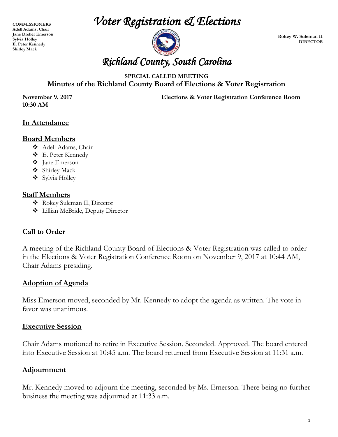**COMMISSIONERS Adell Adams, Chair Jane Dreher Emerson Sylvia Holley E. Peter Kennedy Shirley Mack** 

*Voter Registration & Elections* 



**Rokey W. Suleman II DIRECTOR**

### **SPECIAL CALLED MEETING Minutes of the Richland County Board of Elections & Voter Registration**

**10:30 AM**

**November 9, 2017 Elections & Voter Registration Conference Room**

## **In Attendance**

#### **Board Members**

- Adell Adams, Chair
- E. Peter Kennedy
- Jane Emerson
- Shirley Mack
- Sylvia Holley

#### **Staff Members**

- Rokey Suleman II, Director
- Lillian McBride, Deputy Director

### **Call to Order**

A meeting of the Richland County Board of Elections & Voter Registration was called to order in the Elections & Voter Registration Conference Room on November 9, 2017 at 10:44 AM, Chair Adams presiding.

# **Adoption of Agenda**

Miss Emerson moved, seconded by Mr. Kennedy to adopt the agenda as written. The vote in favor was unanimous.

### **Executive Session**

Chair Adams motioned to retire in Executive Session. Seconded. Approved. The board entered into Executive Session at 10:45 a.m. The board returned from Executive Session at 11:31 a.m.

### **Adjournment**

Mr. Kennedy moved to adjourn the meeting, seconded by Ms. Emerson. There being no further business the meeting was adjourned at 11:33 a.m.